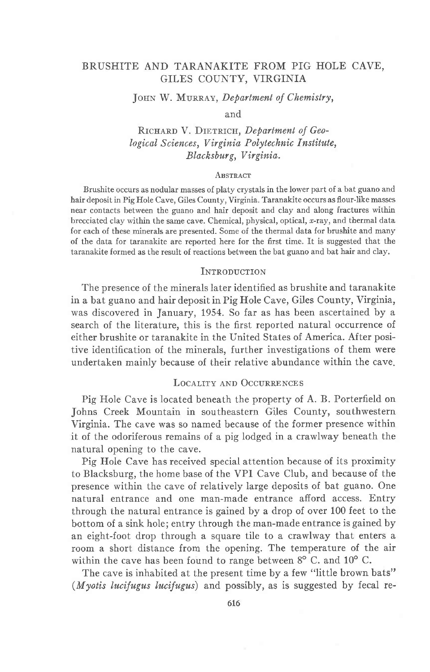# BRUSHITE AND TARANAKITE FROM PIG HOLE CAVE, GILES COUNTY, VIRGINIA

## JOHN W. MURRAY, Department of Chemistry,

### and

# RICHARD V. DIETRICH, Department of Geological Sciences, Virginia Polytechnic Institute, Blacksburg, Virginia.

### **ABSTRACT**

Brushite occurs as nodular masses of platy crystals in the lower part of a bat guano and hair deposit in Pig Hole Cave, Giles County, Virginia. Taranakite occurs as flour-like masses near contacts between the guano and hair deposit and clay and along fractures within brecciated clay within the same cave. Chemical, physical, optical, x-ray, and thermal data for each of these minerals are presented. Some of the thermal data for brushite and many of the data for taranakite are reported here for the first time. It is suggested that the taranakite formed as the result of reactions between the bat guano and bat hair and clay.

### **INTRODUCTION**

The presence of the minerals later identified as brushite and taranakite in a bat guano and hair deposit in Pig Hole Cave, Giles County, Virginia, was discovered in January, 1954. So far as has been ascertained by a search of the literature, this is the first reported natural occurrence of either brushite or taranakite in the United States of America. After positive identification of the minerals, further investigations of them were undertaken mainly because of their relative abundance within the cave.

# LOCALITY AND OCCURRENCES

Pig Hole Cave is located beneath the property of A. B. Porterfield on Johns Creek Mountain in southeastern Giles County, southwestern Virginia. The cave was so named because of the former presence within it of the odoriferous remains of a pig lodged in a crawlway beneath the natural opening to the cave.

Pig Hole Cave has received special attention because of its proximity to Blacksburg, the home base of the VPI Cave Club, and because of the presence within the cave of relatively large deposits of bat guano. One natural entrance and one man-made entrance afiord access. Entry through the natural entrance is gained by a drop of over 100 feet to the bottom of a sink hole; entry through the man-made entrance is gained by an eight-foot drop through a square tile to a crawlway that enters a room a short distance from the opening. The temperature of the air within the cave has been found to range between  $8^{\circ}$  C. and  $10^{\circ}$  C.

The cave is inhabited at the present time by a few "little brown bats" (*Myotis lucifugus lucifugus*) and possibly, as is suggested by fecal re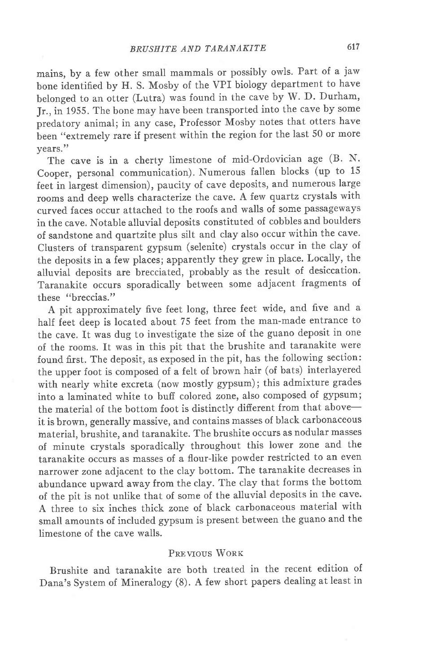mains, by a few other small mammals or possibly owls. Part of a jaw bone identified by H. S. Mosby of the vPI biology department to have belonged to an otter (Lutra) was found in the cave by W. D. Durham, Jr., in 1955. The bone may have been transported into the cave by some predatory animal; in any case, Professor Mosby notes that otters have been "extremely rare if present within the region for the last 50 or more years."

The cave is in a cherty limestone of mid-Ordovician age (B. N. Cooper, personal communication). Numerous fallen blocks (up to 15 feet in Iargest dimension), paucity of cave deposits, and numerous large rooms and deep wells characterize the cave. A few quartz crystals with curved faces occur attached to the roofs and walls of some passageways in the cave. Notable alluvial deposits constituted of cobbles and boulders of sandstone and quartzite plus silt and clay also occur within the cave. Clusters of transparent gypsum (selenite) crystals occur in the clay of the deposits in a few places; apparently they grew in place. Locally, the alluvial deposits are brecciated, probably as the result of desiccation. Taranakite occurs sporadically between some adjacent fragments of these "breccias."

A pit approximately five feet long, three feet wide, and five and a half feet deep is located about 75 feet from the man-made entrance to the cave. It was dug to investigate the size of the guano deposit in one of the rooms. It was in this pit that the brushite and taranakite were found first. The deposit, as exposed in the pit, has the following section: the upper foot is composed of a felt of brown hair (of bats) interlayered with nearly white excreta (now mostly gypsum); this admixture grades into a laminated white to bufi colored zone, also composed of gypsum; the material of the bottom foot is distinctly different from that aboveit is brown, generally massive, and contains masses of black carbonaceous material, brushite, and taranakite. The brushite occurs as nodular masses of minute crystals sporadically throughout this lower zone and the taranakite occurs as masses of a flour-like powder restricted to an even narrower zone adjacent to the clay bottom. The taranakite decreases in abundance upward away from the clay. The clay that forms the bottom of the pit is not unlike that of some of the alluvial deposits in the cave. A three to six inches thick zone of black carbonaceous material with small amounts of included gypsum is present between the guano and the limestone of the cave walls.

# PREVIOUS WORK

Brushite and taranakite are both treated in the recent edition of Dana's System of Mineralogy (S). A few short papers dealing at least in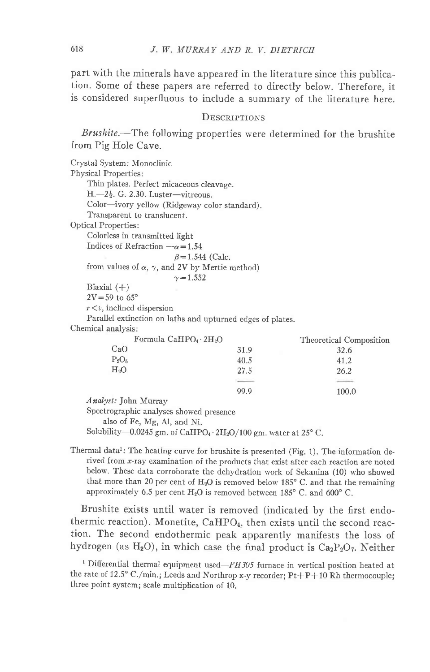part with the minerals have appeared in the literature since this publication. Some of these papers are referred to directly below. Therefore, it is considered superfluous to include a summary of the literature here.

# DESCRIPTIONS

Brushite.—The following properties were determined for the brushite from Pig Hole Cave.

| Crystal System: Monoclinic                                                                                |                        |                         |
|-----------------------------------------------------------------------------------------------------------|------------------------|-------------------------|
| <b>Physical Properties:</b>                                                                               |                        |                         |
| Thin plates. Perfect micaceous cleavage.                                                                  |                        |                         |
| $H = 2\frac{1}{2}$ . G. 2.30. Luster—vitreous.                                                            |                        |                         |
| Color-ivory yellow (Ridgeway color standard).                                                             |                        |                         |
| Transparent to translucent.                                                                               |                        |                         |
| <b>Optical Properties:</b>                                                                                |                        |                         |
| Colorless in transmitted light                                                                            |                        |                         |
| Indices of Refraction $-\alpha = 1.54$                                                                    |                        |                         |
|                                                                                                           | $\beta = 1.544$ (Calc. |                         |
| from values of $\alpha$ , $\gamma$ , and 2V by Mertie method)                                             |                        |                         |
|                                                                                                           | $\gamma = 1.552$       |                         |
| Biaxial $(+)$                                                                                             |                        |                         |
| $2V = 59$ to $65^\circ$                                                                                   |                        |                         |
| $r \leq v$ , inclined dispersion                                                                          |                        |                         |
|                                                                                                           |                        |                         |
| Parallel extinction on laths and upturned edges of plates.<br>Chemical analysis:                          |                        |                         |
|                                                                                                           |                        |                         |
| Formula CaHPO <sub>4</sub> 2H <sub>2</sub> O<br>CaO                                                       |                        | Theoretical Composition |
|                                                                                                           | 31.9                   | 32.6                    |
| $P_2O_5$                                                                                                  | 40.5                   | 41.2                    |
| $H_2O$                                                                                                    | 27.5                   | 26.2                    |
|                                                                                                           |                        |                         |
|                                                                                                           | 99.9                   | 100.0                   |
| Analyst: John Murray                                                                                      |                        |                         |
| Spectrographic analyses showed presence                                                                   |                        |                         |
| also of Fe, Mg, Al, and Ni.                                                                               |                        |                         |
| Solubility—0.0245 gm. of CaHPO <sub>4</sub> $\cdot$ 2H <sub>2</sub> O/100 gm. water at 25 <sup>o</sup> C. |                        |                         |

Thermal data<sup>1</sup>: The heating curve for brushite is presented (Fig. 1). The information derived from x-ray examination of the products that exist after each reaction are noted below. These data corroborate the dehydration work of Sekanina (10) who showed that more than 20 per cent of  $H_2O$  is removed below 185 $\degree$  C. and that the remaining approximately 6.5 per cent  $H_2O$  is removed between 185° C. and 600° C.

Brushite exists until water is removed (indicated by the first endothermic reaction). Monetite,  $CaHPO<sub>4</sub>$ , then exists until the second reaction. The second endothermic peak apparently manifests the loss of hydrogen (as  $H_2O$ ), in which case the final product is  $Ca_2P_2O_7$ . Neither

<sup>1</sup> Differential thermal equipment used- $FH305$  furnace in vertical position heated at the rate of 12.5° C./min.; Leeds and Northrop x-y recorder; Pt+P+10 Rh thermocouple; three point system; scale multiplication of 10.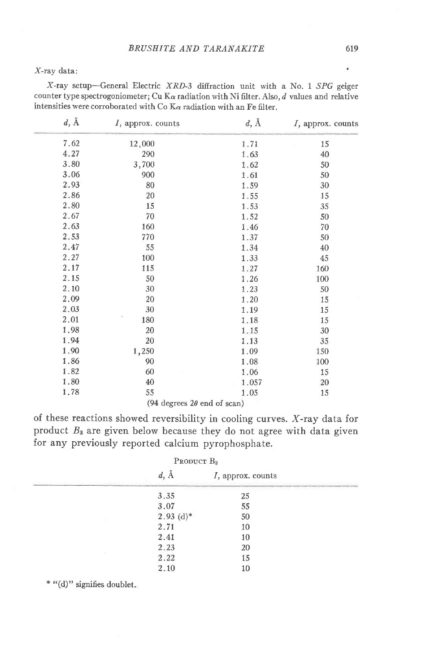X-ray data:

 $X$ -ray setup-General Electric  $XRD-3$  diffraction unit with a No. 1  $SPG$  geiger counter type spectrogoniometer; Cu K $\alpha$  radiation with Ni filter. Also,  $d$  values and relative intensities were corroborated with Co  $K_{\alpha}$  radiation with an Fe filter.

| $d, \AA$ | $I$ , approx. counts               | $d, \AA$ | I, approx. counts |
|----------|------------------------------------|----------|-------------------|
| 7.62     | 12,000                             | 1.71     | 15                |
| 4.27     | 290                                | 1.63     | 40                |
| 3.80     | 3,700                              | 1.62     | 50                |
| 3.06     | 900                                | 1.61     | 50                |
| 2.93     | 80                                 | 1.59     | 30                |
| 2.86     | 20                                 | 1.55     | 15                |
| 2.80     | 15                                 | 1.53     | 35                |
| 2.67     | 70                                 | 1.52     | 50                |
| 2.63     | 160                                | 1.46     | 70                |
| 2.53     | 770                                | 1.37     | 50                |
| 2.47     | 55                                 | 1.34     | 40                |
| 2.27     | 100                                | 1.33     | 45                |
| 2.17     | 115                                | 1.27     | 160               |
| 2.15     | 50                                 | 1.26     | 100               |
| 2.10     | 30                                 | 1.23     | 50                |
| 2.09     | 20                                 | 1.20     | 15                |
| 2.03     | 30                                 | 1.19     | 15                |
| 2.01     | 180                                | 1.18     | 15                |
| 1.98     | 20                                 | 1.15     | 30                |
| 1.94     | 20                                 | 1.13     | 35                |
| 1.90     | 1,250                              | 1.09     | 150               |
| 1.86     | 90                                 | 1.08     | 100               |
| 1.82     | 60                                 | 1.06     | 15                |
| 1.80     | 40                                 | 1.057    | 20                |
| 1.78     | 55                                 | 1.05     | 15                |
|          | (94 degrees $2\theta$ end of scan) |          |                   |

of these reactions showed reversibility in cooling curves. X-ray data for product  $B_3$  are given below because they do not agree with data given for any previously reported calcium pyrophosphate.

| PRODUCT $B_3$ |              |                      |  |
|---------------|--------------|----------------------|--|
|               | $d, \AA$     | $I$ , approx. counts |  |
|               | 3.35         | 25                   |  |
|               | 3.07         | 55                   |  |
|               | $2.93~(d)^*$ | 50                   |  |
|               | 2.71         | 10                   |  |
|               | 2.41         | 10                   |  |
|               | 2.23         | 20                   |  |
|               | 2.22         | 15                   |  |
|               | 2.10         | 10                   |  |

\*  $"$ (d)" signifies doublet.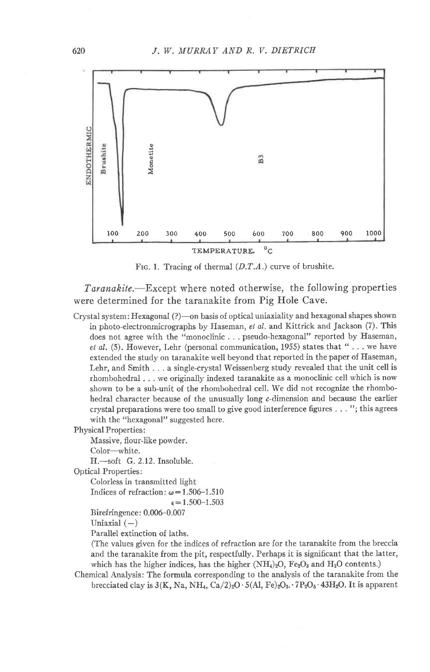

FIG. 1. Tracing of thermal  $(D.T.A.)$  curve of brushite.

Taranakite.—Except where noted otherwise, the following properties were determined for the taranakite from Pig Hole Cave.

Crystal system: Hexagonal (?)-on basis of optical uniaxiality and hexagonal shapes shown in photo-electronmicrographs by Haseman, et al. and Kittrick and Jackson (7). This does not agree with the "monoclinic . . . pseudo-hexagonal" reported by Haseman, et al. (5). However, Lehr (personal communication, 1955) states that " . . . we have extended the study on taranakite well beyond that reported in the paper of Haseman, Lehr, and Smith . . . a single-crystal Weissenberg study revealed that the unit cell is rhombohedral . . . we originally indexed taranakite as a monoclinic cell which is now shown to be a sub-unit of the rhombohedral cell. We did not recognize the rhombohedral character because of the unusually long c-dimension and because the earlier crystal preparations were too small to give good interference figures . . . "; this agrees with the "hexagonal" suggested here.

Physical Properties:

Massive, flour-like powder.

```
Color-white.
```
H.-soft G. 2.12. Insoluble.

Optical Properties:

Colorless in transmitted light

```
Indices of refraction: \omega = 1.506 - 1.510
```
 $\epsilon = 1.500 - 1.503$ 

Birefringence: 0.006-0.007

Uniaxial  $(-)$ 

Parallel extinction of laths.

(The values given for the indices of refraction are for the taranakite from the breccia and the taranakite from the pit, respectfully. Perhaps it is significant that the latter, which has the higher indices, has the higher  $(NH_4)_2O$ ,  $Fe_2O_3$  and  $H_2O$  contents.)

Chemical Analysis: The formula corresponding to the analysis of the taranakite from the brecciated clay is  $3(K, Na, NH<sub>4</sub>, Ca/2)<sub>2</sub>O \cdot 5(Al, Fe)<sub>2</sub>O<sub>8</sub> \cdot 7P<sub>2</sub>O<sub>8</sub> \cdot 43H<sub>2</sub>O$ . It is apparent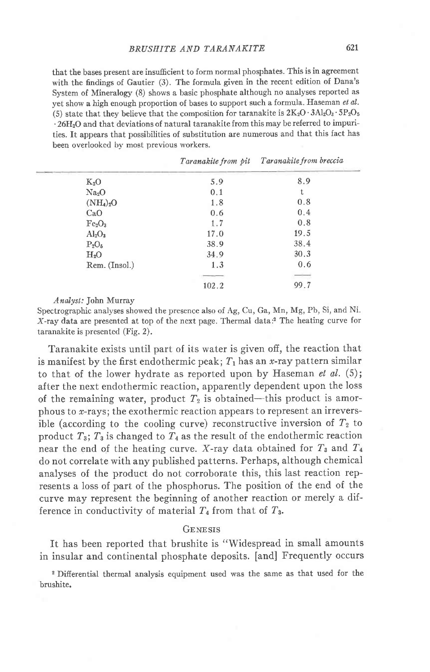that the bases present are insufficient to form normal phosphates. This is in agreement with the findings of Gautier (3). The formula given in the recent edition of Dana's System of Mineralogy (8) shows a basic phosphate although no analyses reported as yet show a high enough proportion of bases to support such a formula. Haseman et al. (5) state that they believe that the composition for taranakite is  $2K_2O \cdot 3Al_2O_3 \cdot 5P_2O_5$  $\cdot$  26H<sub>2</sub>O and that deviations of natural taranakite from this may be referred to impurities. It appears that possibilities of substitution are numerous and that this fact has been overlooked bv most previous workers.

|                                | Taranakite from pit | <i>Taranakite from breccia</i> |
|--------------------------------|---------------------|--------------------------------|
| $K_2O$                         | 5.9                 | 8.9                            |
| Na <sub>2</sub> O              | 0.1                 |                                |
| $(NH_4)_2O$                    | 1.8                 | 0.8                            |
| CaO                            | 0.6                 | 0.4                            |
| Fe <sub>2</sub> O <sub>3</sub> | 1.7                 | 0.8                            |
| $\rm Al_2O_3$                  | 17.0                | 19.5                           |
| $P_2O_5$                       | 38.9                | 38.4                           |
| H <sub>2</sub> O               | 34.9                | 30.3                           |
| Rem. (Insol.)                  | 1.3                 | 0.6                            |
|                                |                     |                                |
|                                | 102.2               | 99.7                           |
|                                |                     |                                |

Andysl.: John Murray

Spectrographic analyses showed the presence also of Ag, Cu, Ga, Mn, Mg, Pb, Si, and Ni. X-ray data are presented at top of the next page. Thermal data:2 The heating curve for taranakite is presented (Fig. 2).

Taranakite exists until part of its water is given off, the reaction that is manifest by the first endothermic peak;  $T_1$  has an *x*-ray pattern similar to that of the lower hydrate as reported upon by Haseman et  $al.$  (5); after the next endothermic reaction, apparently dependent upon the loss of the remaining water, product  $T_2$  is obtained-this product is amorphous to  $x$ -rays; the exothermic reaction appears to represent an irreversible (according to the cooling curve) reconstructive inversion of  $T_2$  to product  $T_3$ ;  $T_3$  is changed to  $T_4$  as the result of the endothermic reaction near the end of the heating curve. X-ray data obtained for  $T_3$  and  $T_4$ do not correlate with any published patterns. Perhaps, although chemical analyses of the product do not corroborate this, this last reaction represents a loss of part of the phosphorus. The position of the end of the curve may represent the beginning of another reaction or merely a difference in conductivity of material  $T_4$  from that of  $T_3$ .

### GENESIS

ft has been reported that brushite is "Widespread in small amounts in insular and continental phosphate deposits. [and] Frequently occurs

2 Differential thermal analysis equipment used was the sane as that used for the brushite.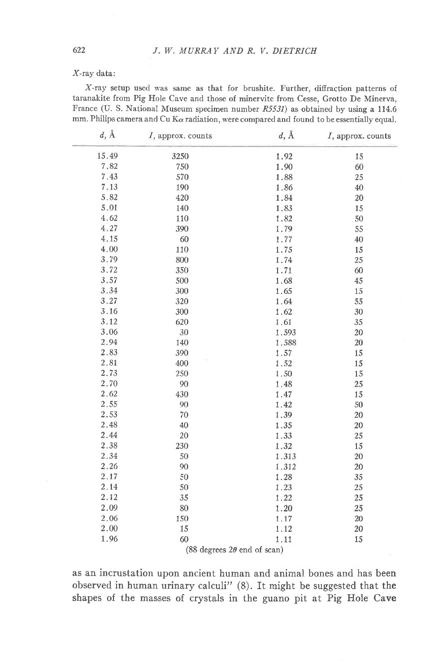### X-ray data:

X-ray setup used was same as that for brushite. Further, diffraction patterns of taranakite from Pig Hole Cave and those of minervite from Cesse, Grotto De Minerva, France (U. S. National Museum specimen number R5531) as obtained by using a 114.6 mm. Philips camera and Cu K $\alpha$  radiation, were compared and found to be essentially equal.

| $d, \AA$ | $I$ , approx. counts | $d, \AA$ | I, approx. counts |
|----------|----------------------|----------|-------------------|
| 15.49    | 3250                 | 1.92     | 15                |
| 7.82     | 750                  | 1.90     | 60                |
| 7.43     | 570                  | 1.88     | 25                |
| 7.13     | 190                  | 1.86     | 40                |
| 5.82     | 420                  | 1.84     | 20                |
| 5.01     | 140                  | 1.83     | 15                |
| 4.62     | 110                  | 1.82     | 50                |
| 4.27     | 390                  | 1.79     | 55                |
| 4.15     | 60                   | 1.77     | 40                |
| 4.00     | 110                  | 1.75     | 15                |
| 3.79     | 800                  | 1.74     | 25                |
| 3.72     | 350                  | 1.71     | 60                |
| 3.57     | 500                  | 1.68     | 45                |
| 3.34     | 300                  | 1.65     | 15                |
| 3.27     | 320                  | 1.64     | 55                |
| 3.16     | 300                  | 1.62     | 30                |
| 3.12     | 620                  | 1.61     | 35                |
| 3.06     | 30                   | 1.593    | $20\,$            |
| 2.94     | 140                  | 1.588    | 20                |
| 2.83     | 390                  | 1.57     | 15                |
| 2.81     | 400                  | 1.52     | 15                |
| 2.73     | 250                  | 1.50     | 15                |
| 2.70     | 90                   | 1.48     | 25                |
| 2.62     | 430                  | 1.47     | 15                |
| 2.55     | 90                   | 1.42     | 50                |
| 2.53     | 70                   | 1.39     | 20                |
| 2.48     | 40                   | 1.35     | 20                |
| 2.44     | 20                   | 1.33     | 25                |
| 2.38     | 230                  | 1.32     | 15                |
| 2.34     | 50                   | 1.313    | 20                |
| 2.26     | 90                   | 1.312    | 20                |
| 2.17     | 50                   | 1.28     | 35                |
| 2.14     | 50                   | 1.23     | 25                |
| 2.12     | 35                   | 1.22     | 25                |
| 2.09     | 80                   | 1.20     | 25                |
| 2.06     | 150                  | 1.17     | 20                |
| 2.00     | 15                   | 1.12     | 20                |
| 1.96     | 60                   | 1.11     | 15                |

(88 degrees  $2\theta$  end of scan)

as an incrustation upon ancient human and animal bones and has been observed in human urinary calculi" (8). It might be suggested that the shapes of the masses of crystals in the guano pit at Pig Hole Cave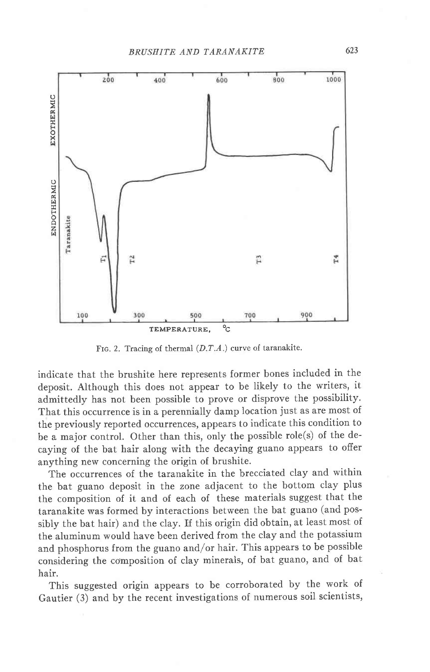

FIG. 2. Tracing of thermal  $(D.T.A.)$  curve of taranakite.

indicate that the brushite here represents former bones included in the deposit. Although this does not appear to be likely to the writers, it admittedly has not been possible to prove or disprove the possibility. That this occurrence is in a perennially damp location just as are most of the previously reported occurrences, appears to indicate this condition to be a major control. Other than this, only the possible role(s) of the decaying of the bat hair along with the decaying guano appears to offer anything new concerning the origin of brushite.

The occurrences of the taranakite in the brecciated clay and within the bat guano deposit in the zone adjacent to the bottom clay plus the composition of it and of each of these materials suggest that the taranakite was formed by interactions between the bat guano (and possibly the bat hair) and the clay. If this origin did obtain, at least most of the aluminum would have been derived from the clay and the potassium and phosphorus from the guano and/or hair. This appears to be possible considering the composition of clay minerals, of bat guano, and of bat hair.

This suggested origin appears to be corroborated by the work of Gautier (3) and by the recent investigations of numerous soil scientists,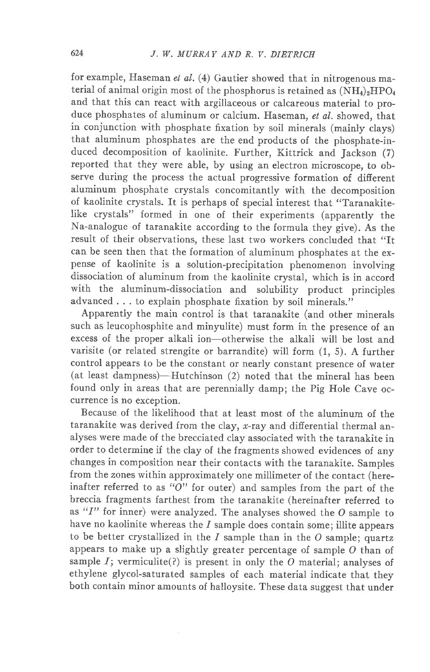for example, Haseman el al.  $(4)$  Gautier showed that in nitrogenous material of animal origin most of the phosphorus is retained as  $(NH_4)_2HPO_4$ and that this can react with argillaceous or calcareous material to produce phosphates of aluminum or calcium. Haseman, et al. showed, that in conjunction with phosphate fixation by soil minerals (mainly clays) that aluminum phosphates are the end products of the phosphate-induced decomposition of kaolinite. Further, Kittrick and Jackson (7) reported that they were able, by using an electron microscope, to observe during the process the actual progressive formation of difierent aluminum phosphate crystals concomitantly with the decomposition of kaolinite crystals. It is perhaps of special interest that "Taranakitelike crystals" formed in one of their experiments (apparently the Na-analogue of taranakite according to the formula they give). As the result of their observations, these last two workers concluded that "It can be seen then that the formation of aluminum phosphates at the expense of kaolinite is a solution-precipitation phenomenon involving dissociation of aluminum from the kaolinite crystal, which is in accord with the aluminum-dissociation and solubility product principles advanced . . . to explain phosphate fixation by soil minerals."

Apparently the main control is that taranakite (and other minerals such as leucophosphite and minyulite) must form in the presence of an excess of the proper alkali ion-otherwise the alkali will be lost and varisite (or related strengite or barrandite) will form (1, 5). A further control appears to be the constant or nearly constant presence of water (at least dampness)-Hutchinson  $(2)$  noted that the mineral has been found only in areas that are perennially damp; the Pig Hole Cave occurrence is no exception.

Because of the likelihood that at least most of the aluminum of the taranakite was derived from the clay,  $x$ -ray and differential thermal analyses were made of the brecciated clay associated with the taranakite in order to determine if the clay of the fragments showed evidences of any changes in composition near their contacts with the taranakite. Samples from the zones within approximately one millimeter of the contact (hereinafter referred to as " $O$ " for outer) and samples from the part of the breccia fragments farthest from the taranakite (hereinafter referred to as " $I$ " for inner) were analyzed. The analyses showed the O sample to have no kaolinite whereas the  $I$  sample does contain some; illite appears to be better crystallized in the  $I$  sample than in the  $O$  sample; quartz appears to make up a slightly greater percentage of sample O than of sample  $I$ ; vermiculite(?) is present in only the O material; analyses of ethylene glycol-saturated samples of each material indicate that they both contain minor amounts of halloysite. These data suggest that under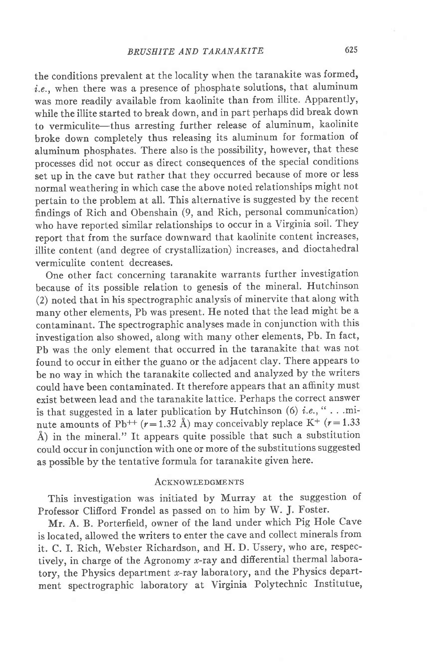the conditions prevalent at the locality when the taranakite was formed, i.e., when there was a presence of phosphate solutions, that aluminum was more readily available from kaolinite than from illite. Apparently, while the illite started to break down, and in part perhaps did break down to vermiculite-thus arresting further release of aluminum, kaolinite broke down completely thus releasing its aluminum for formation of aluminum phosphates. There also is the possibility, however, that these processes did not occur as direct consequences of the special conditions set up in the cave but rather that they occurred because of more or less normal weathering in which case the above noted relationships might not pertain to the problem at all. This alternative is suggested by the recent findings of Rich and Obenshain (9, and Rich, personal communication) who have reported similar relationships to occur in a Virginia soil. They report that from the surface downward that kaolinite content increases, illite content (and degree of crystallization) increases, and dioctahedral vermiculite content decreases.

One other fact concerning taranakite warrants further investigation because of its possible relation to genesis of the mineral. Hutchinson (2) noted that in his spectrographic analysis of minervite that along with many other elements, Pb was present. He noted that the lead might be a contaminant. The spectrographic analyses made in conjunction with this investigation also showed, along with many other elements, Pb. In fact, Pb was the only element that occurred in the taranakite that was not found to occur in either the guano or the adjacent clay. There appears to be no way in which the taranakite collected and analyzed by the writers could have been contaminated. It therefore appears that an affinity must exist between lead and the taranakite lattice. Perhaps the correct answer is that suggested in a later publication by Hutchinson (6) *i.e.*, "...minute amounts of Pb<sup>++</sup> ( $r=1.32$  Å) may conceivably replace K<sup>+</sup> ( $r=1.33$ ) Å) in the mineral." It appears quite possible that such a substitution could occur in conjunction with one or more of the substitutions suggested as possible by the tentative formula for taranakite given here.

# **ACKNOWLEDGMENTS**

This investigation was initiated by Murray at the suggestion of Professor Clifford Frondel as passed on to him by W. J. Foster.

Mr. A. B. Porterfield, owner of the land under which Pig Hole Cave is located, allowed the writers to enter the cave and collect minerals from it. C. I. Rich, Webster Richardson, and H. D. Ussery, who are, respectively, in charge of the Agronomy  $x$ -ray and differential thermal laboratory, the Physics department  $x$ -ray laboratory, and the Physics department spectrographic laboratory at Virginia Polytechnic Institutue,